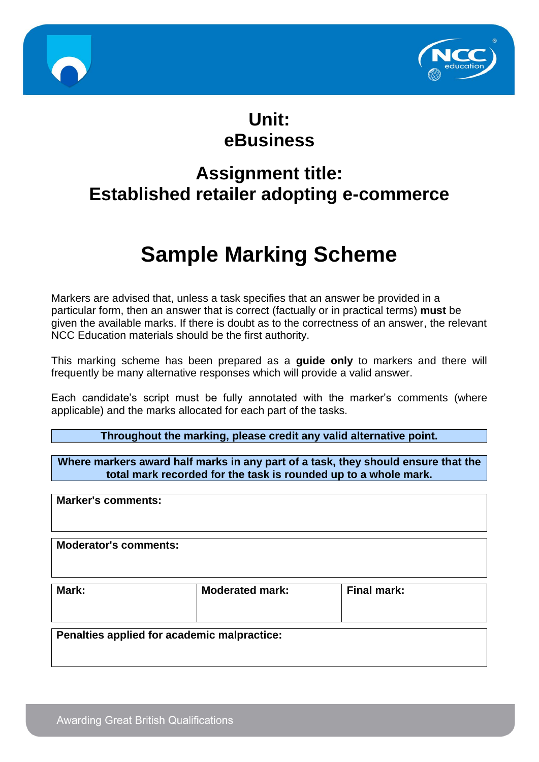



## **Unit: eBusiness**

## **Assignment title: Established retailer adopting e-commerce**

# **Sample Marking Scheme**

Markers are advised that, unless a task specifies that an answer be provided in a particular form, then an answer that is correct (factually or in practical terms) **must** be given the available marks. If there is doubt as to the correctness of an answer, the relevant NCC Education materials should be the first authority.

This marking scheme has been prepared as a **guide only** to markers and there will frequently be many alternative responses which will provide a valid answer.

Each candidate's script must be fully annotated with the marker's comments (where applicable) and the marks allocated for each part of the tasks.

**Throughout the marking, please credit any valid alternative point.**

**Where markers award half marks in any part of a task, they should ensure that the total mark recorded for the task is rounded up to a whole mark.**

**Marker's comments:**

**Moderator's comments:**

| Mark: | <b>Moderated mark:</b> | <b>Final mark:</b> |
|-------|------------------------|--------------------|
|       |                        |                    |

**Penalties applied for academic malpractice:**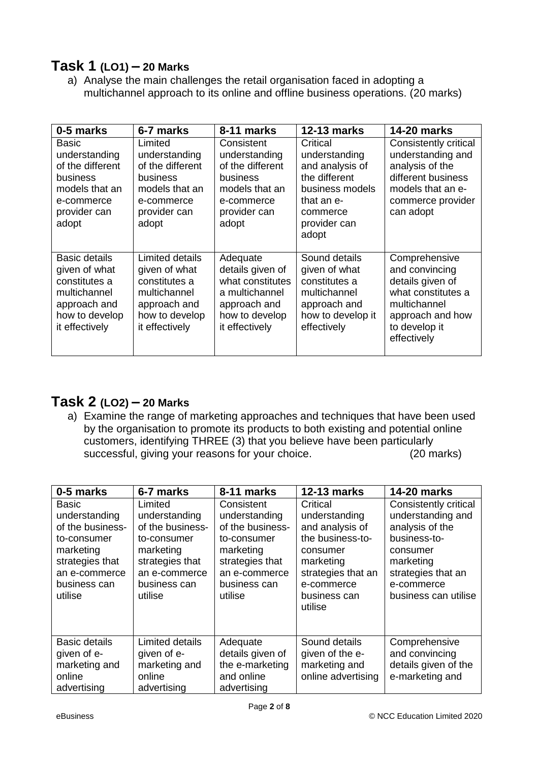#### **Task 1 (LO1) – 20 Marks**

a) Analyse the main challenges the retail organisation faced in adopting a multichannel approach to its online and offline business operations. (20 marks)

| 0-5 marks                                                                                                                  | 6-7 marks                                                                                                             | 8-11 marks                                                                                                             | <b>12-13 marks</b>                                                                                                                  | 14-20 marks                                                                                                                                   |
|----------------------------------------------------------------------------------------------------------------------------|-----------------------------------------------------------------------------------------------------------------------|------------------------------------------------------------------------------------------------------------------------|-------------------------------------------------------------------------------------------------------------------------------------|-----------------------------------------------------------------------------------------------------------------------------------------------|
| Basic<br>understanding<br>of the different<br>business<br>models that an<br>e-commerce<br>provider can<br>adopt            | Limited<br>understanding<br>of the different<br>business<br>models that an<br>e-commerce<br>provider can<br>adopt     | Consistent<br>understanding<br>of the different<br>business<br>models that an<br>e-commerce<br>provider can<br>adopt   | Critical<br>understanding<br>and analysis of<br>the different<br>business models<br>that an e-<br>commerce<br>provider can<br>adopt | Consistently critical<br>understanding and<br>analysis of the<br>different business<br>models that an e-<br>commerce provider<br>can adopt    |
| <b>Basic details</b><br>given of what<br>constitutes a<br>multichannel<br>approach and<br>how to develop<br>it effectively | Limited details<br>given of what<br>constitutes a<br>multichannel<br>approach and<br>how to develop<br>it effectively | Adequate<br>details given of<br>what constitutes<br>a multichannel<br>approach and<br>how to develop<br>it effectively | Sound details<br>given of what<br>constitutes a<br>multichannel<br>approach and<br>how to develop it<br>effectively                 | Comprehensive<br>and convincing<br>details given of<br>what constitutes a<br>multichannel<br>approach and how<br>to develop it<br>effectively |

#### **Task 2 (LO2) – 20 Marks**

a) Examine the range of marketing approaches and techniques that have been used by the organisation to promote its products to both existing and potential online customers, identifying THREE (3) that you believe have been particularly successful, giving your reasons for your choice. (20 marks)

| 0-5 marks                                                                                                                                    | 6-7 marks                                                                                                                               | 8-11 marks                                                                                                                                 | <b>12-13 marks</b>                                                                                                                                       | <b>14-20 marks</b>                                                                                                                                                        |
|----------------------------------------------------------------------------------------------------------------------------------------------|-----------------------------------------------------------------------------------------------------------------------------------------|--------------------------------------------------------------------------------------------------------------------------------------------|----------------------------------------------------------------------------------------------------------------------------------------------------------|---------------------------------------------------------------------------------------------------------------------------------------------------------------------------|
| <b>Basic</b><br>understanding<br>of the business-<br>to-consumer<br>marketing<br>strategies that<br>an e-commerce<br>business can<br>utilise | Limited<br>understanding<br>of the business-<br>to-consumer<br>marketing<br>strategies that<br>an e-commerce<br>business can<br>utilise | Consistent<br>understanding<br>of the business-<br>to-consumer<br>marketing<br>strategies that<br>an e-commerce<br>business can<br>utilise | Critical<br>understanding<br>and analysis of<br>the business-to-<br>consumer<br>marketing<br>strategies that an<br>e-commerce<br>business can<br>utilise | <b>Consistently critical</b><br>understanding and<br>analysis of the<br>business-to-<br>consumer<br>marketing<br>strategies that an<br>e-commerce<br>business can utilise |
| <b>Basic details</b><br>given of e-<br>marketing and<br>online<br>advertising                                                                | Limited details<br>given of e-<br>marketing and<br>online<br>advertising                                                                | Adequate<br>details given of<br>the e-marketing<br>and online<br>advertising                                                               | Sound details<br>given of the e-<br>marketing and<br>online advertising                                                                                  | Comprehensive<br>and convincing<br>details given of the<br>e-marketing and                                                                                                |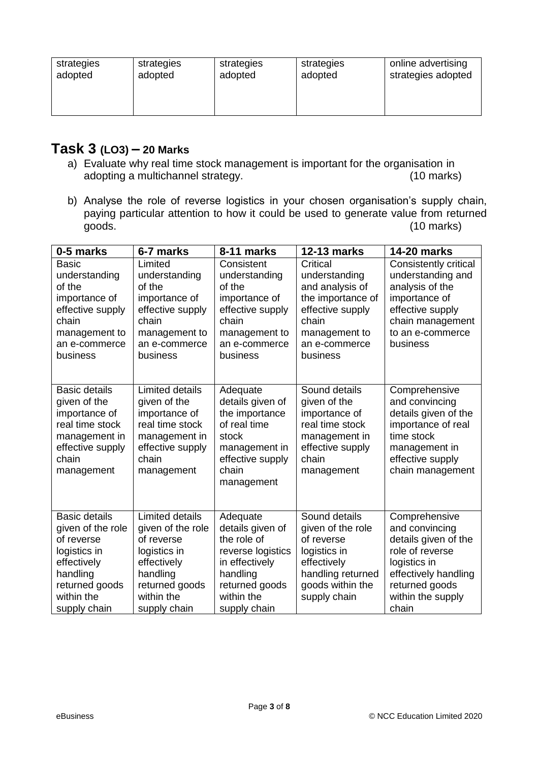| strategies<br>strategies<br>adopted<br>adopted | strategies<br>adopted | strategies<br>adopted | online advertising<br>strategies adopted |
|------------------------------------------------|-----------------------|-----------------------|------------------------------------------|
|------------------------------------------------|-----------------------|-----------------------|------------------------------------------|

#### **Task 3 (LO3) – 20 Marks**

- a) Evaluate why real time stock management is important for the organisation in adopting a multichannel strategy. (10 marks)
- b) Analyse the role of reverse logistics in your chosen organisation's supply chain, paying particular attention to how it could be used to generate value from returned goods. (10 marks)  $(10 \text{ marks})$

| 0-5 marks                        | 6-7 marks                        | 8-11 marks                 | <b>12-13 marks</b>                    | <b>14-20 marks</b>                     |
|----------------------------------|----------------------------------|----------------------------|---------------------------------------|----------------------------------------|
| <b>Basic</b>                     | Limited                          | Consistent                 | Critical                              | Consistently critical                  |
| understanding                    | understanding                    | understanding              | understanding                         | understanding and                      |
| of the<br>importance of          | of the<br>importance of          | of the<br>importance of    | and analysis of<br>the importance of  | analysis of the<br>importance of       |
| effective supply                 | effective supply                 | effective supply           | effective supply                      | effective supply                       |
| chain                            | chain                            | chain                      | chain                                 | chain management                       |
| management to                    | management to                    | management to              | management to                         | to an e-commerce                       |
| an e-commerce                    | an e-commerce                    | an e-commerce              | an e-commerce                         | business                               |
| business                         | business                         | business                   | business                              |                                        |
|                                  |                                  |                            |                                       |                                        |
| <b>Basic details</b>             | <b>Limited details</b>           | Adequate                   | Sound details                         | Comprehensive                          |
| given of the                     | given of the                     | details given of           | given of the                          | and convincing                         |
| importance of                    | importance of                    | the importance             | importance of                         | details given of the                   |
| real time stock<br>management in | real time stock<br>management in | of real time<br>stock      | real time stock<br>management in      | importance of real<br>time stock       |
| effective supply                 | effective supply                 | management in              | effective supply                      | management in                          |
| chain                            | chain                            | effective supply           | chain                                 | effective supply                       |
| management                       | management                       | chain                      | management                            | chain management                       |
|                                  |                                  | management                 |                                       |                                        |
|                                  |                                  |                            |                                       |                                        |
| <b>Basic details</b>             | Limited details                  | Adequate                   | Sound details                         | Comprehensive                          |
| given of the role                | given of the role                | details given of           | given of the role                     | and convincing                         |
| of reverse                       | of reverse                       | the role of                | of reverse                            | details given of the                   |
| logistics in                     | logistics in                     | reverse logistics          | logistics in                          | role of reverse                        |
| effectively                      | effectively                      | in effectively             | effectively                           | logistics in                           |
| handling<br>returned goods       | handling<br>returned goods       | handling<br>returned goods | handling returned<br>goods within the | effectively handling<br>returned goods |
| within the                       | within the                       | within the                 | supply chain                          | within the supply                      |
| supply chain                     | supply chain                     | supply chain               |                                       | chain                                  |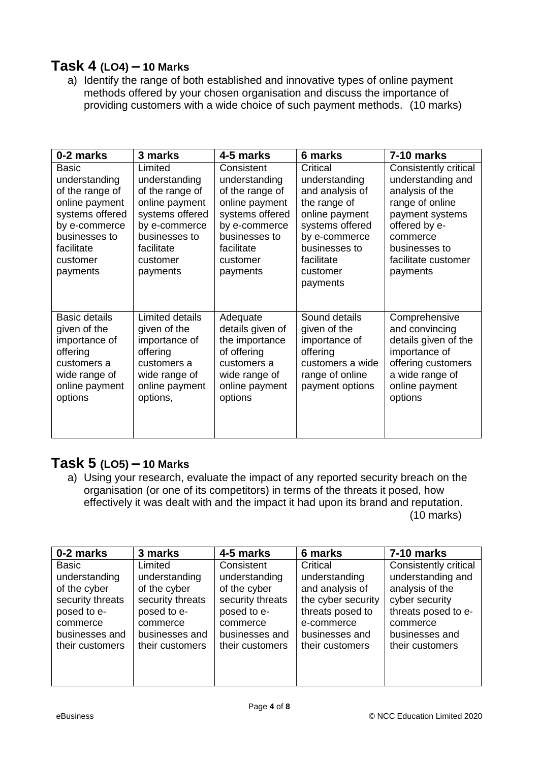#### **Task 4 (LO4) – 10 Marks**

a) Identify the range of both established and innovative types of online payment methods offered by your chosen organisation and discuss the importance of providing customers with a wide choice of such payment methods. (10 marks)

| 0-2 marks                                                                                                                                                     | 3 marks                                                                                                                                                  | 4-5 marks                                                                                                                                                   | 6 marks                                                                                                                                                                   | 7-10 marks                                                                                                                                                                           |
|---------------------------------------------------------------------------------------------------------------------------------------------------------------|----------------------------------------------------------------------------------------------------------------------------------------------------------|-------------------------------------------------------------------------------------------------------------------------------------------------------------|---------------------------------------------------------------------------------------------------------------------------------------------------------------------------|--------------------------------------------------------------------------------------------------------------------------------------------------------------------------------------|
| <b>Basic</b><br>understanding<br>of the range of<br>online payment<br>systems offered<br>by e-commerce<br>businesses to<br>facilitate<br>customer<br>payments | Limited<br>understanding<br>of the range of<br>online payment<br>systems offered<br>by e-commerce<br>businesses to<br>facilitate<br>customer<br>payments | Consistent<br>understanding<br>of the range of<br>online payment<br>systems offered<br>by e-commerce<br>businesses to<br>facilitate<br>customer<br>payments | Critical<br>understanding<br>and analysis of<br>the range of<br>online payment<br>systems offered<br>by e-commerce<br>businesses to<br>facilitate<br>customer<br>payments | Consistently critical<br>understanding and<br>analysis of the<br>range of online<br>payment systems<br>offered by e-<br>commerce<br>businesses to<br>facilitate customer<br>payments |
| <b>Basic details</b><br>given of the<br>importance of<br>offering<br>customers a<br>wide range of<br>online payment<br>options                                | Limited details<br>given of the<br>importance of<br>offering<br>customers a<br>wide range of<br>online payment<br>options,                               | Adequate<br>details given of<br>the importance<br>of offering<br>customers a<br>wide range of<br>online payment<br>options                                  | Sound details<br>given of the<br>importance of<br>offering<br>customers a wide<br>range of online<br>payment options                                                      | Comprehensive<br>and convincing<br>details given of the<br>importance of<br>offering customers<br>a wide range of<br>online payment<br>options                                       |

#### **Task 5 (LO5) – 10 Marks**

a) Using your research, evaluate the impact of any reported security breach on the organisation (or one of its competitors) in terms of the threats it posed, how effectively it was dealt with and the impact it had upon its brand and reputation. (10 marks)

| 0-2 marks        | 3 marks          | 4-5 marks        | 6 marks            | 7-10 marks            |
|------------------|------------------|------------------|--------------------|-----------------------|
| <b>Basic</b>     | Limited          | Consistent       | Critical           | Consistently critical |
| understanding    | understanding    | understanding    | understanding      | understanding and     |
| of the cyber     | of the cyber     | of the cyber     | and analysis of    | analysis of the       |
| security threats | security threats | security threats | the cyber security | cyber security        |
| posed to e-      | posed to e-      | posed to e-      | threats posed to   | threats posed to e-   |
| commerce         | commerce         | commerce         | e-commerce         | commerce              |
| businesses and   | businesses and   | businesses and   | businesses and     | businesses and        |
| their customers  | their customers  | their customers  | their customers    | their customers       |
|                  |                  |                  |                    |                       |
|                  |                  |                  |                    |                       |
|                  |                  |                  |                    |                       |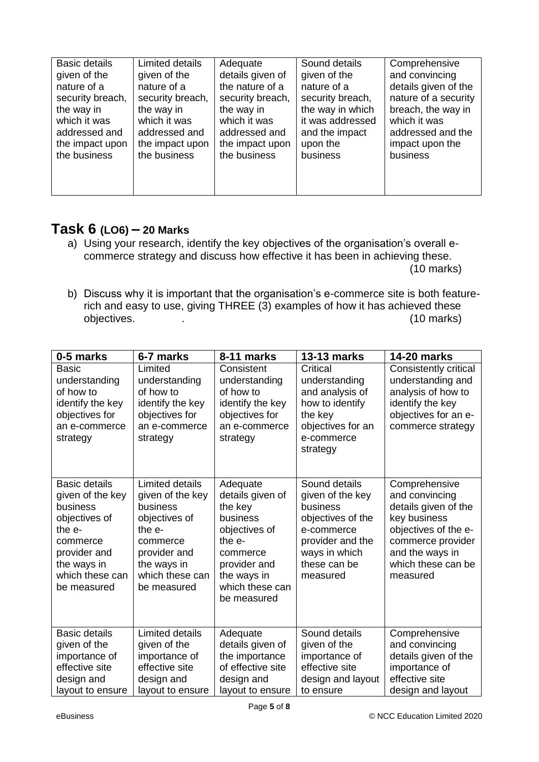| <b>Basic details</b> | Limited details  | Adequate         | Sound details    | Comprehensive        |
|----------------------|------------------|------------------|------------------|----------------------|
| given of the         | given of the     | details given of | given of the     | and convincing       |
| nature of a          | nature of a      | the nature of a  | nature of a      | details given of the |
| security breach,     | security breach, | security breach, | security breach, | nature of a security |
| the way in           | the way in       | the way in       | the way in which | breach, the way in   |
| which it was         | which it was     | which it was     | it was addressed | which it was         |
| addressed and        | addressed and    | addressed and    | and the impact   | addressed and the    |
| the impact upon      | the impact upon  | the impact upon  | upon the         | impact upon the      |
| the business         | the business     | the business     | business         | business             |

#### **Task 6 (LO6) – 20 Marks**

- a) Using your research, identify the key objectives of the organisation's overall ecommerce strategy and discuss how effective it has been in achieving these. (10 marks)
- b) Discuss why it is important that the organisation's e-commerce site is both featurerich and easy to use, giving THREE (3) examples of how it has achieved these objectives. The contract of the contract of the contract of the contract of the contract of the contract of the contract of the contract of the contract of the contract of the contract of the contract of the contract of th

| 0-5 marks                                                                                                                                                    | 6-7 marks                                                                                                                                               | 8-11 marks                                                                                                                                                     | <b>13-13 marks</b>                                                                                                                                | <b>14-20 marks</b>                                                                                                                                                        |
|--------------------------------------------------------------------------------------------------------------------------------------------------------------|---------------------------------------------------------------------------------------------------------------------------------------------------------|----------------------------------------------------------------------------------------------------------------------------------------------------------------|---------------------------------------------------------------------------------------------------------------------------------------------------|---------------------------------------------------------------------------------------------------------------------------------------------------------------------------|
| <b>Basic</b><br>understanding<br>of how to<br>identify the key<br>objectives for<br>an e-commerce<br>strategy                                                | Limited<br>understanding<br>of how to<br>identify the key<br>objectives for<br>an e-commerce<br>strategy                                                | Consistent<br>understanding<br>of how to<br>identify the key<br>objectives for<br>an e-commerce<br>strategy                                                    | Critical<br>understanding<br>and analysis of<br>how to identify<br>the key<br>objectives for an<br>e-commerce<br>strategy                         | Consistently critical<br>understanding and<br>analysis of how to<br>identify the key<br>objectives for an e-<br>commerce strategy                                         |
| <b>Basic details</b><br>given of the key<br>business<br>objectives of<br>the e-<br>commerce<br>provider and<br>the ways in<br>which these can<br>be measured | Limited details<br>given of the key<br>business<br>objectives of<br>the e-<br>commerce<br>provider and<br>the ways in<br>which these can<br>be measured | Adequate<br>details given of<br>the key<br>business<br>objectives of<br>the $e$ -<br>commerce<br>provider and<br>the ways in<br>which these can<br>be measured | Sound details<br>given of the key<br>business<br>objectives of the<br>e-commerce<br>provider and the<br>ways in which<br>these can be<br>measured | Comprehensive<br>and convincing<br>details given of the<br>key business<br>objectives of the e-<br>commerce provider<br>and the ways in<br>which these can be<br>measured |
| <b>Basic details</b><br>given of the<br>importance of<br>effective site<br>design and<br>layout to ensure                                                    | <b>Limited details</b><br>given of the<br>importance of<br>effective site<br>design and<br>layout to ensure                                             | Adequate<br>details given of<br>the importance<br>of effective site<br>design and<br>layout to ensure                                                          | Sound details<br>given of the<br>importance of<br>effective site<br>design and layout<br>to ensure                                                | Comprehensive<br>and convincing<br>details given of the<br>importance of<br>effective site<br>design and layout                                                           |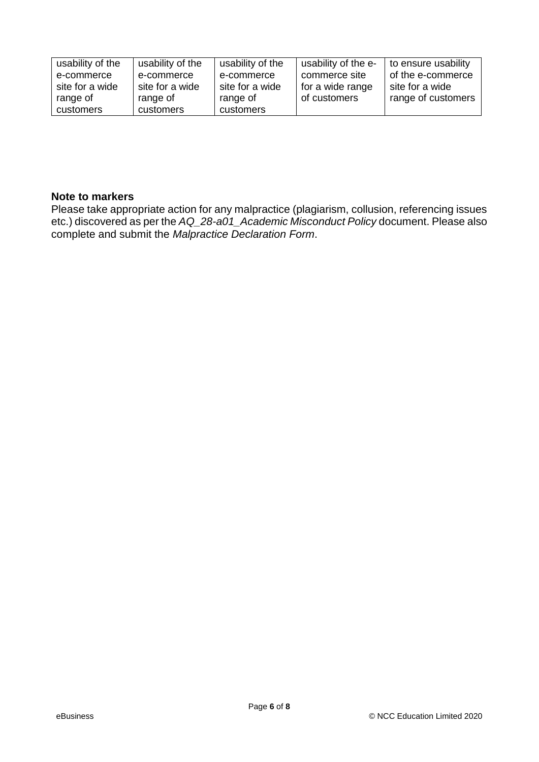| usability of the | usability of the | usability of the | usability of the e- | to ensure usability |
|------------------|------------------|------------------|---------------------|---------------------|
| e-commerce       | e-commerce       | e-commerce       | commerce site       | of the e-commerce   |
| site for a wide  | site for a wide  | site for a wide  | for a wide range    | site for a wide     |
| range of         | range of         | range of         | of customers        | range of customers  |
| customers        | customers        | customers        |                     |                     |

#### **Note to markers**

Please take appropriate action for any malpractice (plagiarism, collusion, referencing issues etc.) discovered as per the *AQ\_28-a01\_Academic Misconduct Policy* document. Please also complete and submit the *Malpractice Declaration Form*.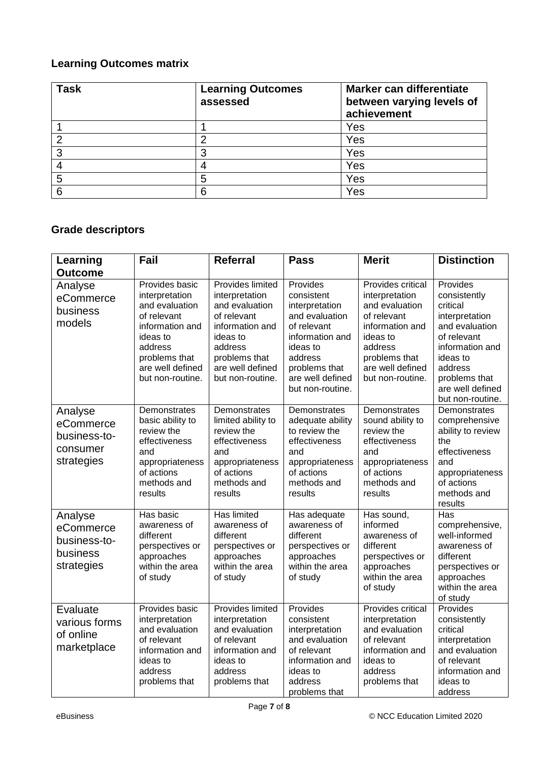#### **Learning Outcomes matrix**

| <b>Task</b> | <b>Learning Outcomes</b><br>assessed | Marker can differentiate<br>between varying levels of<br>achievement |
|-------------|--------------------------------------|----------------------------------------------------------------------|
|             |                                      | Yes                                                                  |
|             | ⌒                                    | Yes                                                                  |
| 3           | 3                                    | Yes                                                                  |
|             |                                      | Yes                                                                  |
| 5           | 5                                    | Yes                                                                  |
| ิค          | 6                                    | Yes                                                                  |

### **Grade descriptors**

| Learning                                                       | Fail                                                                                                                                                                 | <b>Referral</b>                                                                                                                                                        | <b>Pass</b>                                                                                                                                                                  | <b>Merit</b>                                                                                                                                                            | <b>Distinction</b>                                                                                                                                                                         |
|----------------------------------------------------------------|----------------------------------------------------------------------------------------------------------------------------------------------------------------------|------------------------------------------------------------------------------------------------------------------------------------------------------------------------|------------------------------------------------------------------------------------------------------------------------------------------------------------------------------|-------------------------------------------------------------------------------------------------------------------------------------------------------------------------|--------------------------------------------------------------------------------------------------------------------------------------------------------------------------------------------|
| <b>Outcome</b>                                                 |                                                                                                                                                                      |                                                                                                                                                                        |                                                                                                                                                                              |                                                                                                                                                                         |                                                                                                                                                                                            |
| Analyse<br>eCommerce<br>business<br>models                     | Provides basic<br>interpretation<br>and evaluation<br>of relevant<br>information and<br>ideas to<br>address<br>problems that<br>are well defined<br>but non-routine. | Provides limited<br>interpretation<br>and evaluation<br>of relevant<br>information and<br>ideas to<br>address<br>problems that<br>are well defined<br>but non-routine. | Provides<br>consistent<br>interpretation<br>and evaluation<br>of relevant<br>information and<br>ideas to<br>address<br>problems that<br>are well defined<br>but non-routine. | Provides critical<br>interpretation<br>and evaluation<br>of relevant<br>information and<br>ideas to<br>address<br>problems that<br>are well defined<br>but non-routine. | Provides<br>consistently<br>critical<br>interpretation<br>and evaluation<br>of relevant<br>information and<br>ideas to<br>address<br>problems that<br>are well defined<br>but non-routine. |
| Analyse<br>eCommerce<br>business-to-<br>consumer<br>strategies | Demonstrates<br>basic ability to<br>review the<br>effectiveness<br>and<br>appropriateness<br>of actions<br>methods and<br>results                                    | Demonstrates<br>limited ability to<br>review the<br>effectiveness<br>and<br>appropriateness<br>of actions<br>methods and<br>results                                    | Demonstrates<br>adequate ability<br>to review the<br>effectiveness<br>and<br>appropriateness<br>of actions<br>methods and<br>results                                         | Demonstrates<br>sound ability to<br>review the<br>effectiveness<br>and<br>appropriateness<br>of actions<br>methods and<br>results                                       | Demonstrates<br>comprehensive<br>ability to review<br>the<br>effectiveness<br>and<br>appropriateness<br>of actions<br>methods and<br>results                                               |
| Analyse<br>eCommerce<br>business-to-<br>business<br>strategies | Has basic<br>awareness of<br>different<br>perspectives or<br>approaches<br>within the area<br>of study                                                               | <b>Has limited</b><br>awareness of<br>different<br>perspectives or<br>approaches<br>within the area<br>of study                                                        | Has adequate<br>awareness of<br>different<br>perspectives or<br>approaches<br>within the area<br>of study                                                                    | Has sound,<br>informed<br>awareness of<br>different<br>perspectives or<br>approaches<br>within the area<br>of study                                                     | Has<br>comprehensive,<br>well-informed<br>awareness of<br>different<br>perspectives or<br>approaches<br>within the area<br>of study                                                        |
| Evaluate<br>various forms<br>of online<br>marketplace          | Provides basic<br>interpretation<br>and evaluation<br>of relevant<br>information and<br>ideas to<br>address<br>problems that                                         | Provides limited<br>interpretation<br>and evaluation<br>of relevant<br>information and<br>ideas to<br>address<br>problems that                                         | Provides<br>consistent<br>interpretation<br>and evaluation<br>of relevant<br>information and<br>ideas to<br>address<br>problems that                                         | Provides critical<br>interpretation<br>and evaluation<br>of relevant<br>information and<br>ideas to<br>address<br>problems that                                         | Provides<br>consistently<br>critical<br>interpretation<br>and evaluation<br>of relevant<br>information and<br>ideas to<br>address                                                          |